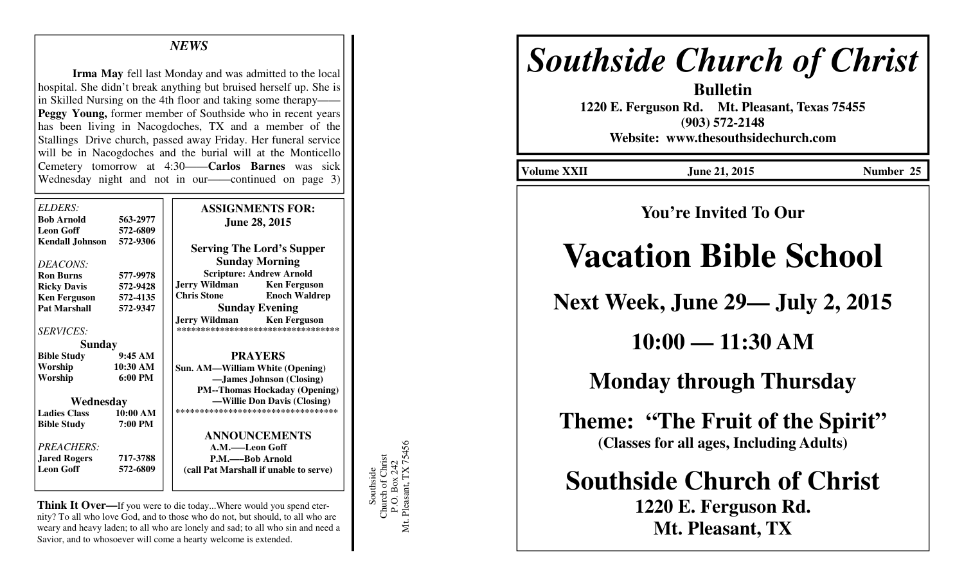### *NEWS*

**Irma May** fell last Monday and was admitted to the local hospital. She didn't break anything but bruised herself up. She is in Skilled Nursing on the 4th floor and taking some therapy—— **Peggy Young,** former member of Southside who in recent years has been living in Nacogdoches, TX and a member of the Stallings Drive church, passed away Friday. Her funeral service will be in Nacogdoches and the burial will at the Monticello Cemetery tomorrow at 4:30——**Carlos Barnes** was sick Wednesday night and not in our——continued on page 3)

| ELDERS:<br><b>Bob Arnold</b><br><b>Leon Goff</b> | 563-2977<br>572-6809 | <b>ASSIGNMENTS FOR:</b><br><b>June 28, 2015</b>                  |
|--------------------------------------------------|----------------------|------------------------------------------------------------------|
| <b>Kendall Johnson</b>                           | 572-9306             | <b>Serving The Lord's Supper</b>                                 |
| DEACONS:                                         |                      | <b>Sunday Morning</b>                                            |
| <b>Ron Burns</b>                                 | 577-9978             | <b>Scripture: Andrew Arnold</b>                                  |
| <b>Ricky Davis</b>                               | 572-9428             | <b>Jerry Wildman</b><br><b>Ken Ferguson</b>                      |
| <b>Ken Ferguson</b>                              | 572-4135             | <b>Chris Stone</b><br><b>Enoch Waldrep</b>                       |
| <b>Pat Marshall</b>                              | 572-9347             | <b>Sunday Evening</b>                                            |
| <b>SERVICES:</b>                                 |                      | Jerry Wildman Ken Ferguson<br>********************************** |
| <b>Sunday</b>                                    |                      |                                                                  |
| <b>Bible Study</b>                               | 9:45AM               | <b>PRAYERS</b>                                                   |
| Worship                                          | 10:30 AM             | <b>Sun. AM—William White (Opening)</b>                           |
| Worship                                          | $6:00 \text{ PM}$    | -James Johnson (Closing)                                         |
|                                                  |                      | <b>PM--Thomas Hockaday (Opening)</b>                             |
| Wednesday                                        |                      | —Willie Don Davis (Closing)                                      |
| <b>Ladies Class</b>                              | 10:00 AM             | ***********************************                              |
| <b>Bible Study</b>                               | 7:00 PM              |                                                                  |
|                                                  |                      | <b>ANNOUNCEMENTS</b>                                             |
| <b>PREACHERS:</b>                                |                      | A.M.——Leon Goff                                                  |
| <b>Jared Rogers</b>                              | 717-3788             | P.M.——Bob Arnold                                                 |
| <b>Leon Goff</b>                                 | 572-6809             | (call Pat Marshall if unable to serve)                           |
|                                                  |                      |                                                                  |

**Think It Over—**If you were to die today...Where would you spend eternity? To all who love God, and to those who do not, but should, to all who are weary and heavy laden; to all who are lonely and sad; to all who sin and need a Savior, and to whosoever will come a hearty welcome is extended.

Southside<br>Church of Christ<br>P.O. Box 242<br>Mt. Pleasant, TX 75456 Mt. Pleasant, TX 75456 Church of Christ P.O. Box 242 Southside

# *Southside Church of Christ*

**Bulletin 1220 E. Ferguson Rd. Mt. Pleasant, Texas 75455 (903) 572-2148 Website: www.thesouthsidechurch.com** 

**Volume XXII 12015** June 21, 2015 1201 1201 121 Number 25

## **You're Invited To Our**

# **Vacation Bible School**

**Next Week, June 29— July 2, 2015** 

**10:00 — 11:30 AM** 

# **Monday through Thursday**

**Theme: "The Fruit of the Spirit" (Classes for all ages, Including Adults)** 

**Southside Church of Christ 1220 E. Ferguson Rd. Mt. Pleasant, TX**